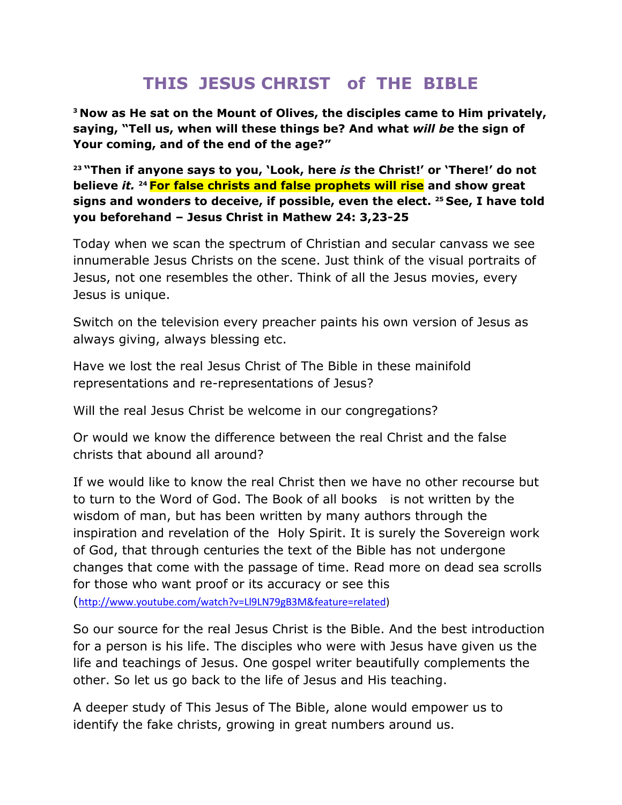## **THIS JESUS CHRIST of THE BIBLE**

**<sup>3</sup> Now as He sat on the Mount of Olives, the disciples came to Him privately, saying, "Tell us, when will these things be? And what** *will be* **the sign of Your coming, and of the end of the age?"**

**<sup>23</sup> "Then if anyone says to you, "Look, here** *is* **the Christ!" or "There!" do not believe** *it.* **<sup>24</sup> For false christs and false prophets will rise and show great signs and wonders to deceive, if possible, even the elect. <sup>25</sup> See, I have told you beforehand – Jesus Christ in Mathew 24: 3,23-25**

Today when we scan the spectrum of Christian and secular canvass we see innumerable Jesus Christs on the scene. Just think of the visual portraits of Jesus, not one resembles the other. Think of all the Jesus movies, every Jesus is unique.

Switch on the television every preacher paints his own version of Jesus as always giving, always blessing etc.

Have we lost the real Jesus Christ of The Bible in these mainifold representations and re-representations of Jesus?

Will the real Jesus Christ be welcome in our congregations?

Or would we know the difference between the real Christ and the false christs that abound all around?

If we would like to know the real Christ then we have no other recourse but to turn to the Word of God. The Book of all books is not written by the wisdom of man, but has been written by many authors through the inspiration and revelation of the Holy Spirit. It is surely the Sovereign work of God, that through centuries the text of the Bible has not undergone changes that come with the passage of time. Read more on dead sea scrolls for those who want proof or its accuracy or see this

([http://www.youtube.com/watch?v=Ll9LN79gB3M&feature=related\)](http://www.youtube.com/watch?v=Ll9LN79gB3M&feature=related)

So our source for the real Jesus Christ is the Bible. And the best introduction for a person is his life. The disciples who were with Jesus have given us the life and teachings of Jesus. One gospel writer beautifully complements the other. So let us go back to the life of Jesus and His teaching.

A deeper study of This Jesus of The Bible, alone would empower us to identify the fake christs, growing in great numbers around us.